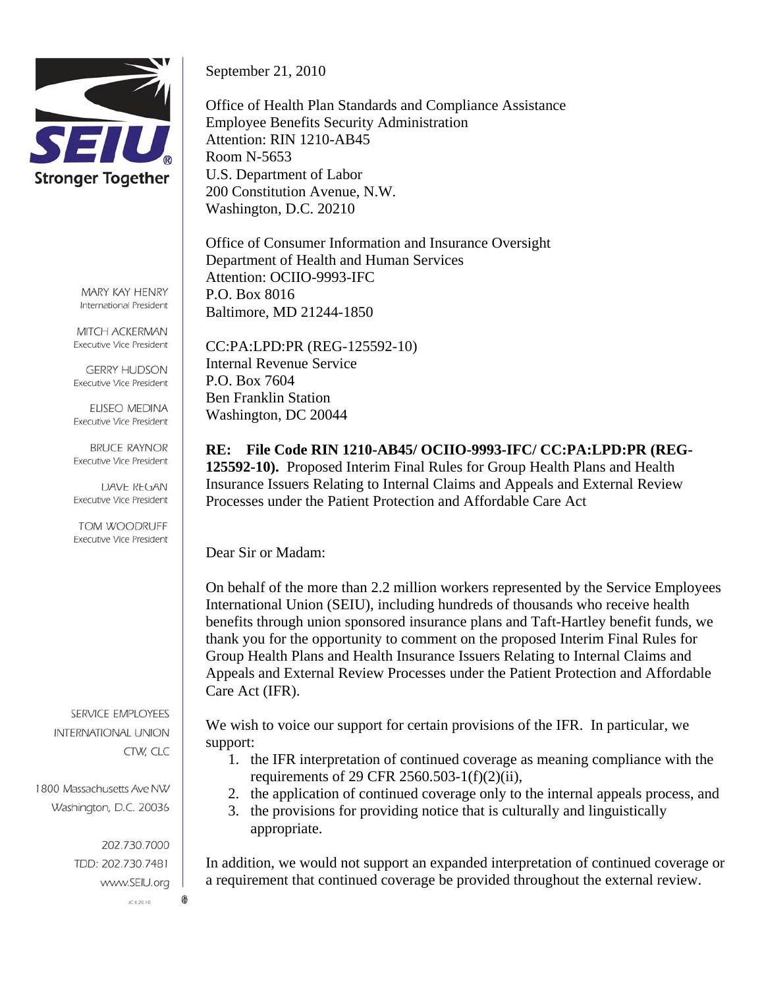

MARY KAY HENRY International President

MITCH ACKERMAN **Executive Vice President** 

**GERRY HUDSON Executive Vice President** 

ELISEO MEDINA **Executive Vice President** 

**BRUCE RAYNOR Executive Vice President** 

**DAVE REGAN Executive Vice President** 

TOM WOODRUFF Executive Vice President

SERVICE EMPLOYEES **INTERNATIONAL UNION** CTW, CLC

1800 Massachusetts Ave NW Washington, D.C. 20036

> 202.730.7000 TDD: 202.730.7481 www.SEIU.org

> > JC 8.20.10

0

September 21, 2010

Office of Health Plan Standards and Compliance Assistance Employee Benefits Security Administration Attention: RIN 1210-AB45 Room N-5653 U.S. Department of Labor 200 Constitution Avenue, N.W. Washington, D.C. 20210

Office of Consumer Information and Insurance Oversight Department of Health and Human Services Attention: OCIIO-9993-IFC P.O. Box 8016 Baltimore, MD 21244-1850

CC:PA:LPD:PR (REG-125592-10) Internal Revenue Service P.O. Box 7604 Ben Franklin Station Washington, DC 20044

**RE: File Code RIN 1210-AB45/ OCIIO-9993-IFC/ CC:PA:LPD:PR (REG-125592-10).** Proposed Interim Final Rules for Group Health Plans and Health Insurance Issuers Relating to Internal Claims and Appeals and External Review Processes under the Patient Protection and Affordable Care Act

Dear Sir or Madam:

On behalf of the more than 2.2 million workers represented by the Service Employees International Union (SEIU), including hundreds of thousands who receive health benefits through union sponsored insurance plans and Taft-Hartley benefit funds, we thank you for the opportunity to comment on the proposed Interim Final Rules for Group Health Plans and Health Insurance Issuers Relating to Internal Claims and Appeals and External Review Processes under the Patient Protection and Affordable Care Act (IFR).

We wish to voice our support for certain provisions of the IFR. In particular, we support:

- 1. the IFR interpretation of continued coverage as meaning compliance with the requirements of 29 CFR 2560.503-1(f)(2)(ii),
- 2. the application of continued coverage only to the internal appeals process, and
- 3. the provisions for providing notice that is culturally and linguistically appropriate.

In addition, we would not support an expanded interpretation of continued coverage or a requirement that continued coverage be provided throughout the external review.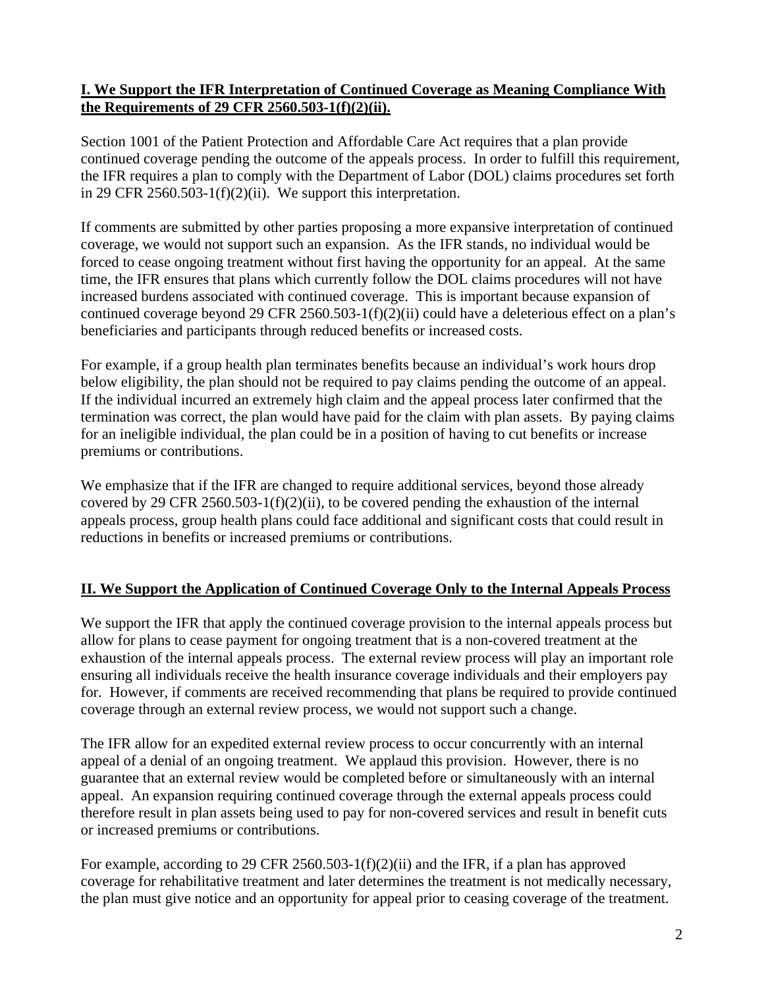## **I. We Support the IFR Interpretation of Continued Coverage as Meaning Compliance With the Requirements of 29 CFR 2560.503-1(f)(2)(ii).**

Section 1001 of the Patient Protection and Affordable Care Act requires that a plan provide continued coverage pending the outcome of the appeals process. In order to fulfill this requirement, the IFR requires a plan to comply with the Department of Labor (DOL) claims procedures set forth in 29 CFR 2560.503-1(f)(2)(ii). We support this interpretation.

If comments are submitted by other parties proposing a more expansive interpretation of continued coverage, we would not support such an expansion. As the IFR stands, no individual would be forced to cease ongoing treatment without first having the opportunity for an appeal. At the same time, the IFR ensures that plans which currently follow the DOL claims procedures will not have increased burdens associated with continued coverage. This is important because expansion of continued coverage beyond 29 CFR 2560.503-1(f)(2)(ii) could have a deleterious effect on a plan's beneficiaries and participants through reduced benefits or increased costs.

For example, if a group health plan terminates benefits because an individual's work hours drop below eligibility, the plan should not be required to pay claims pending the outcome of an appeal. If the individual incurred an extremely high claim and the appeal process later confirmed that the termination was correct, the plan would have paid for the claim with plan assets. By paying claims for an ineligible individual, the plan could be in a position of having to cut benefits or increase premiums or contributions.

We emphasize that if the IFR are changed to require additional services, beyond those already covered by 29 CFR 2560.503-1(f)(2)(ii), to be covered pending the exhaustion of the internal appeals process, group health plans could face additional and significant costs that could result in reductions in benefits or increased premiums or contributions.

## **II. We Support the Application of Continued Coverage Only to the Internal Appeals Process**

We support the IFR that apply the continued coverage provision to the internal appeals process but allow for plans to cease payment for ongoing treatment that is a non-covered treatment at the exhaustion of the internal appeals process. The external review process will play an important role ensuring all individuals receive the health insurance coverage individuals and their employers pay for. However, if comments are received recommending that plans be required to provide continued coverage through an external review process, we would not support such a change.

The IFR allow for an expedited external review process to occur concurrently with an internal appeal of a denial of an ongoing treatment. We applaud this provision. However, there is no guarantee that an external review would be completed before or simultaneously with an internal appeal. An expansion requiring continued coverage through the external appeals process could therefore result in plan assets being used to pay for non-covered services and result in benefit cuts or increased premiums or contributions.

For example, according to 29 CFR 2560.503-1(f)(2)(ii) and the IFR, if a plan has approved coverage for rehabilitative treatment and later determines the treatment is not medically necessary, the plan must give notice and an opportunity for appeal prior to ceasing coverage of the treatment.